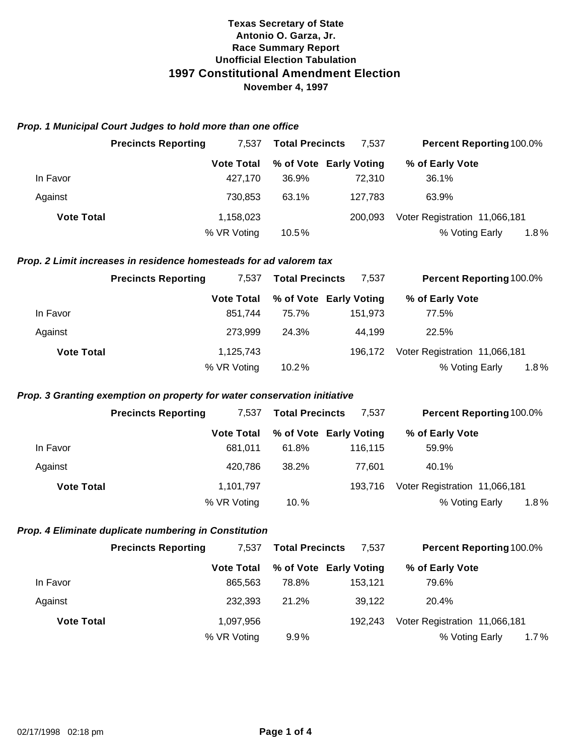#### *Prop. 1 Municipal Court Judges to hold more than one office*

|                   | <b>Precincts Reporting</b> | 7.537             | <b>Total Precincts</b> | 7.537                  |                               | <b>Percent Reporting 100.0%</b> |
|-------------------|----------------------------|-------------------|------------------------|------------------------|-------------------------------|---------------------------------|
|                   |                            | <b>Vote Total</b> |                        | % of Vote Early Voting | % of Early Vote               |                                 |
| In Favor          |                            | 427.170           | 36.9%                  | 72.310                 | 36.1%                         |                                 |
| Against           |                            | 730.853           | 63.1%                  | 127,783                | 63.9%                         |                                 |
| <b>Vote Total</b> |                            | 1,158,023         |                        | 200.093                | Voter Registration 11,066,181 |                                 |
|                   |                            | % VR Voting       | 10.5%                  |                        | % Voting Early                | 1.8%                            |

### *Prop. 2 Limit increases in residence homesteads for ad valorem tax*

|                   | <b>Precincts Reporting</b> | 7.537             | <b>Total Precincts</b> | 7.537                  |                               | <b>Percent Reporting 100.0%</b> |
|-------------------|----------------------------|-------------------|------------------------|------------------------|-------------------------------|---------------------------------|
|                   |                            | <b>Vote Total</b> |                        | % of Vote Early Voting | % of Early Vote               |                                 |
| In Favor          |                            | 851.744           | 75.7%                  | 151,973                | 77.5%                         |                                 |
| Against           |                            | 273.999           | 24.3%                  | 44,199                 | 22.5%                         |                                 |
| <b>Vote Total</b> |                            | 1,125,743         |                        | 196.172                | Voter Registration 11,066,181 |                                 |
|                   |                            | % VR Voting       | 10.2%                  |                        | % Voting Early                | $1.8\%$                         |

### *Prop. 3 Granting exemption on property for water conservation initiative*

|                   | <b>Precincts Reporting</b> | 7.537             | <b>Total Precincts</b> | 7,537                  | <b>Percent Reporting 100.0%</b> |         |
|-------------------|----------------------------|-------------------|------------------------|------------------------|---------------------------------|---------|
|                   |                            | <b>Vote Total</b> |                        | % of Vote Early Voting | % of Early Vote                 |         |
| In Favor          |                            | 681.011           | 61.8%                  | 116.115                | 59.9%                           |         |
| Against           |                            | 420.786           | 38.2%                  | 77.601                 | 40.1%                           |         |
| <b>Vote Total</b> |                            | 1,101,797         |                        | 193.716                | Voter Registration 11,066,181   |         |
|                   |                            | % VR Voting       | $10. \%$               |                        | % Voting Early                  | $1.8\%$ |

## *Prop. 4 Eliminate duplicate numbering in Constitution*

|                   | <b>Precincts Reporting</b> | 7.537             | <b>Total Precincts</b> | 7.537                  | <b>Percent Reporting 100.0%</b> |  |
|-------------------|----------------------------|-------------------|------------------------|------------------------|---------------------------------|--|
|                   |                            | <b>Vote Total</b> |                        | % of Vote Early Voting | % of Early Vote                 |  |
| In Favor          |                            | 865.563           | 78.8%                  | 153.121                | 79.6%                           |  |
| Against           |                            | 232,393           | 21.2%                  | 39.122                 | 20.4%                           |  |
| <b>Vote Total</b> |                            | 1,097,956         |                        | 192.243                | Voter Registration 11,066,181   |  |
|                   |                            | % VR Voting       | $9.9\%$                |                        | % Voting Early<br>1.7%          |  |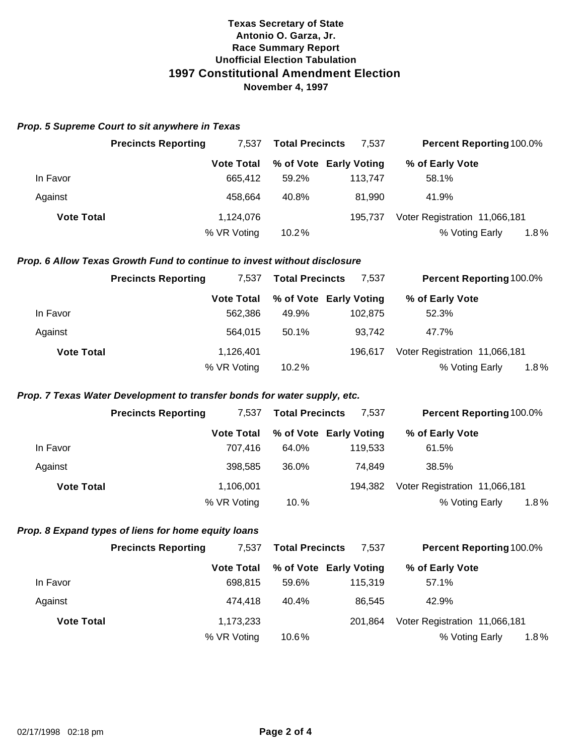#### *Prop. 5 Supreme Court to sit anywhere in Texas*

|                   | <b>Precincts Reporting</b> | <b>Total Precincts</b><br>7.537 |       | 7.537                  |                               | <b>Percent Reporting 100.0%</b> |
|-------------------|----------------------------|---------------------------------|-------|------------------------|-------------------------------|---------------------------------|
|                   |                            | <b>Vote Total</b>               |       | % of Vote Early Voting | % of Early Vote               |                                 |
| In Favor          |                            | 665.412                         | 59.2% | 113.747                | 58.1%                         |                                 |
| Against           |                            | 458.664                         | 40.8% | 81.990                 | 41.9%                         |                                 |
| <b>Vote Total</b> |                            | 1,124,076                       |       | 195.737                | Voter Registration 11,066,181 |                                 |
|                   |                            | % VR Voting                     | 10.2% |                        | % Voting Early                | 1.8%                            |

### *Prop. 6 Allow Texas Growth Fund to continue to invest without disclosure*

|                   | <b>Precincts Reporting</b> | 7.537             | <b>Total Precincts</b> | 7.537                  | <b>Percent Reporting 100.0%</b> |         |
|-------------------|----------------------------|-------------------|------------------------|------------------------|---------------------------------|---------|
|                   |                            | <b>Vote Total</b> |                        | % of Vote Early Voting | % of Early Vote                 |         |
| In Favor          |                            | 562,386           | 49.9%                  | 102,875                | 52.3%                           |         |
| Against           |                            | 564.015           | 50.1%                  | 93.742                 | 47.7%                           |         |
| <b>Vote Total</b> |                            | 1,126,401         |                        | 196.617                | Voter Registration 11,066,181   |         |
|                   |                            | % VR Voting       | 10.2%                  |                        | % Voting Early                  | $1.8\%$ |

# *Prop. 7 Texas Water Development to transfer bonds for water supply, etc.*

|                   | <b>Precincts Reporting</b> | 7.537             | <b>Total Precincts</b> | 7,537                  | <b>Percent Reporting 100.0%</b> |         |
|-------------------|----------------------------|-------------------|------------------------|------------------------|---------------------------------|---------|
|                   |                            | <b>Vote Total</b> |                        | % of Vote Early Voting | % of Early Vote                 |         |
| In Favor          |                            | 707.416           | 64.0%                  | 119.533                | 61.5%                           |         |
| Against           |                            | 398.585           | 36.0%                  | 74.849                 | 38.5%                           |         |
| <b>Vote Total</b> |                            | 1,106,001         |                        | 194.382                | Voter Registration 11,066,181   |         |
|                   |                            | % VR Voting       | $10. \%$               |                        | % Voting Early                  | $1.8\%$ |

## *Prop. 8 Expand types of liens for home equity loans*

|                   | <b>Precincts Reporting</b> | 7.537             | <b>Total Precincts</b> | 7,537                  | <b>Percent Reporting 100.0%</b> |  |
|-------------------|----------------------------|-------------------|------------------------|------------------------|---------------------------------|--|
|                   |                            | <b>Vote Total</b> |                        | % of Vote Early Voting | % of Early Vote                 |  |
| In Favor          |                            | 698.815           | 59.6%                  | 115.319                | 57.1%                           |  |
| Against           |                            | 474.418           | 40.4%                  | 86.545                 | 42.9%                           |  |
| <b>Vote Total</b> |                            | 1,173,233         |                        | 201.864                | Voter Registration 11,066,181   |  |
|                   |                            | % VR Voting       | 10.6%                  |                        | 1.8%<br>% Voting Early          |  |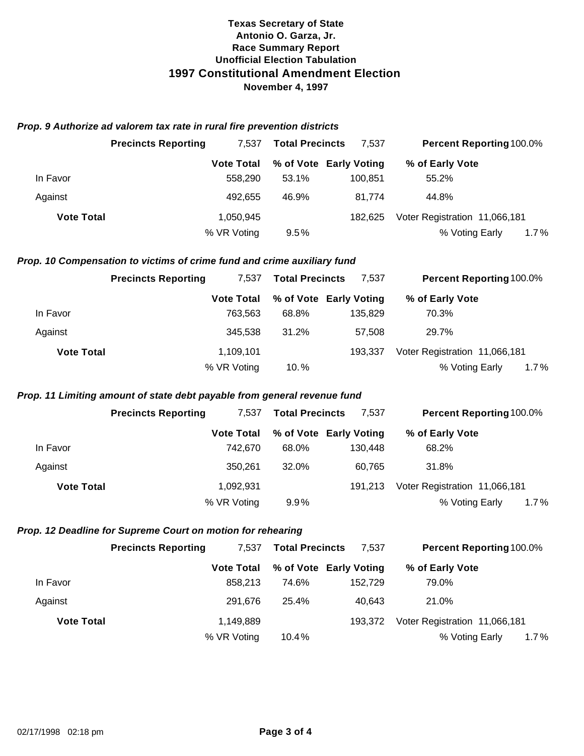## *Prop. 9 Authorize ad valorem tax rate in rural fire prevention districts*

|                   | <b>Precincts Reporting</b> | <b>Total Precincts</b><br>7.537 |       | 7.537                  | <b>Percent Reporting 100.0%</b> |      |
|-------------------|----------------------------|---------------------------------|-------|------------------------|---------------------------------|------|
|                   |                            | <b>Vote Total</b>               |       | % of Vote Early Voting | % of Early Vote                 |      |
| In Favor          |                            | 558,290                         | 53.1% | 100.851                | 55.2%                           |      |
| Against           |                            | 492.655                         | 46.9% | 81.774                 | 44.8%                           |      |
| <b>Vote Total</b> |                            | 1,050,945                       |       | 182.625                | Voter Registration 11,066,181   |      |
|                   |                            | % VR Voting                     | 9.5%  |                        | % Voting Early                  | 1.7% |

# *Prop. 10 Compensation to victims of crime fund and crime auxiliary fund*

|                   | <b>Precincts Reporting</b> | 7.537             | <b>Total Precincts</b> | 7.537                  | <b>Percent Reporting 100.0%</b> |         |
|-------------------|----------------------------|-------------------|------------------------|------------------------|---------------------------------|---------|
|                   |                            | <b>Vote Total</b> |                        | % of Vote Early Voting | % of Early Vote                 |         |
| In Favor          |                            | 763.563           | 68.8%                  | 135,829                | 70.3%                           |         |
| Against           |                            | 345.538           | 31.2%                  | 57.508                 | 29.7%                           |         |
| <b>Vote Total</b> |                            | 1,109,101         |                        | 193.337                | Voter Registration 11,066,181   |         |
|                   |                            | % VR Voting       | $10. \%$               |                        | % Voting Early                  | $1.7\%$ |

# *Prop. 11 Limiting amount of state debt payable from general revenue fund*

|                   | <b>Precincts Reporting</b> | 7.537             | <b>Total Precincts</b> | 7.537                  | <b>Percent Reporting 100.0%</b> |         |
|-------------------|----------------------------|-------------------|------------------------|------------------------|---------------------------------|---------|
|                   |                            | <b>Vote Total</b> |                        | % of Vote Early Voting | % of Early Vote                 |         |
| In Favor          |                            | 742.670           | 68.0%                  | 130.448                | 68.2%                           |         |
| Against           |                            | 350.261           | 32.0%                  | 60.765                 | 31.8%                           |         |
| <b>Vote Total</b> |                            | 1,092,931         |                        | 191.213                | Voter Registration 11,066,181   |         |
|                   |                            | % VR Voting       | $9.9\%$                |                        | % Voting Early                  | $1.7\%$ |

## *Prop. 12 Deadline for Supreme Court on motion for rehearing*

|                   | <b>Precincts Reporting</b> | 7.537             | <b>Total Precincts</b> | 7,537                  | <b>Percent Reporting 100.0%</b> |  |
|-------------------|----------------------------|-------------------|------------------------|------------------------|---------------------------------|--|
|                   |                            | <b>Vote Total</b> |                        | % of Vote Early Voting | % of Early Vote                 |  |
| In Favor          |                            | 858.213           | 74.6%                  | 152.729                | 79.0%                           |  |
| Against           |                            | 291.676           | 25.4%                  | 40.643                 | 21.0%                           |  |
| <b>Vote Total</b> |                            | 1,149,889         |                        | 193.372                | Voter Registration 11,066,181   |  |
|                   |                            | % VR Voting       | $10.4\%$               |                        | % Voting Early<br>1.7%          |  |